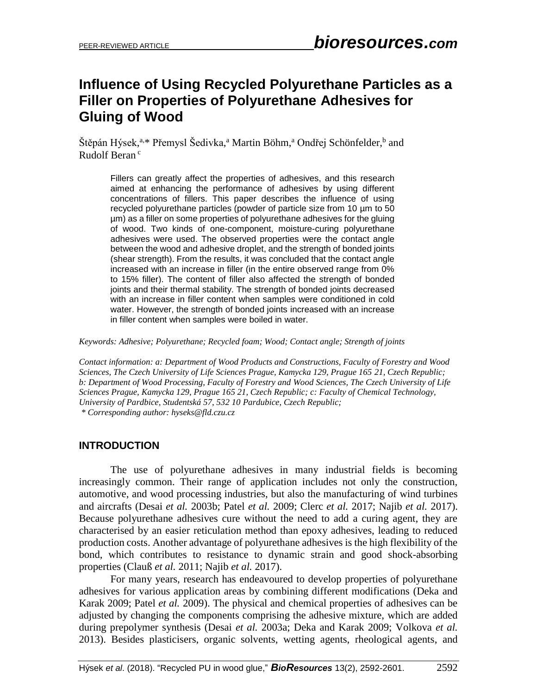## **Influence of Using Recycled Polyurethane Particles as a Filler on Properties of Polyurethane Adhesives for Gluing of Wood**

Štěpán Hýsek,<sup>a,\*</sup> Přemysl Šedivka,<sup>a</sup> Martin Böhm,<sup>a</sup> Ondřej Schönfelder,<sup>b</sup> and Rudolf Beran<sup>c</sup>

Fillers can greatly affect the properties of adhesives, and this research aimed at enhancing the performance of adhesives by using different concentrations of fillers. This paper describes the influence of using recycled polyurethane particles (powder of particle size from 10 µm to 50 µm) as a filler on some properties of polyurethane adhesives for the gluing of wood. Two kinds of one-component, moisture-curing polyurethane adhesives were used. The observed properties were the contact angle between the wood and adhesive droplet, and the strength of bonded joints (shear strength). From the results, it was concluded that the contact angle increased with an increase in filler (in the entire observed range from 0% to 15% filler). The content of filler also affected the strength of bonded joints and their thermal stability. The strength of bonded joints decreased with an increase in filler content when samples were conditioned in cold water. However, the strength of bonded joints increased with an increase in filler content when samples were boiled in water.

*Keywords: Adhesive; Polyurethane; Recycled foam; Wood; Contact angle; Strength of joints*

*Contact information: a: Department of Wood Products and Constructions, Faculty of Forestry and Wood Sciences, The Czech University of Life Sciences Prague, Kamycka 129, Prague 165 21, Czech Republic; b: Department of Wood Processing, Faculty of Forestry and Wood Sciences, The Czech University of Life Sciences Prague, Kamycka 129, Prague 165 21, Czech Republic; c: Faculty of Chemical Technology, University of Pardbice, Studentská 57, 532 10 Pardubice, Czech Republic; \* Corresponding author: hyseks@fld.czu.cz*

## **INTRODUCTION**

The use of polyurethane adhesives in many industrial fields is becoming increasingly common. Their range of application includes not only the construction, automotive, and wood processing industries, but also the manufacturing of wind turbines and aircrafts (Desai *et al.* 2003b; Patel *et al.* 2009; Clerc *et al.* 2017; Najib *et al.* 2017). Because polyurethane adhesives cure without the need to add a curing agent, they are characterised by an easier reticulation method than epoxy adhesives, leading to reduced production costs. Another advantage of polyurethane adhesives is the high flexibility of the bond, which contributes to resistance to dynamic strain and good shock-absorbing properties (Clauß *et al.* 2011; Najib *et al.* 2017).

For many years, research has endeavoured to develop properties of polyurethane adhesives for various application areas by combining different modifications (Deka and Karak 2009; Patel *et al.* 2009). The physical and chemical properties of adhesives can be adjusted by changing the components comprising the adhesive mixture, which are added during prepolymer synthesis (Desai *et al.* 2003a; Deka and Karak 2009; Volkova *et al.* 2013). Besides plasticisers, organic solvents, wetting agents, rheological agents, and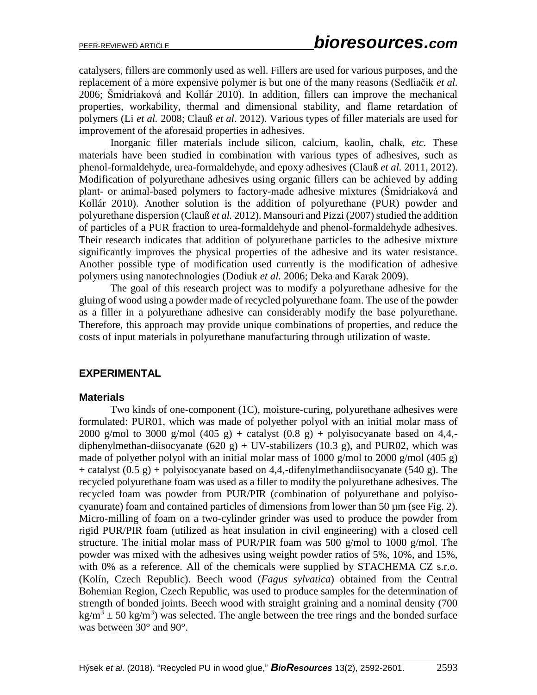catalysers, fillers are commonly used as well. Fillers are used for various purposes, and the replacement of a more expensive polymer is but one of the many reasons (Sedliačik *et al.* 2006; Šmidriaková and Kollár 2010). In addition, fillers can improve the mechanical properties, workability, thermal and dimensional stability, and flame retardation of polymers (Li *et al.* 2008; Clauß *et al*. 2012). Various types of filler materials are used for improvement of the aforesaid properties in adhesives.

Inorganic filler materials include silicon, calcium, kaolin, chalk, *etc.* These materials have been studied in combination with various types of adhesives, such as phenol-formaldehyde, urea-formaldehyde, and epoxy adhesives (Clauß *et al.* 2011, 2012). Modification of polyurethane adhesives using organic fillers can be achieved by adding plant- or animal-based polymers to factory-made adhesive mixtures (Šmidriaková and Kollár 2010). Another solution is the addition of polyurethane (PUR) powder and polyurethane dispersion (Clauß *et al.* 2012). Mansouri and Pizzi (2007) studied the addition of particles of a PUR fraction to urea-formaldehyde and phenol-formaldehyde adhesives. Their research indicates that addition of polyurethane particles to the adhesive mixture significantly improves the physical properties of the adhesive and its water resistance. Another possible type of modification used currently is the modification of adhesive polymers using nanotechnologies (Dodiuk *et al.* 2006; Deka and Karak 2009).

The goal of this research project was to modify a polyurethane adhesive for the gluing of wood using a powder made of recycled polyurethane foam. The use of the powder as a filler in a polyurethane adhesive can considerably modify the base polyurethane. Therefore, this approach may provide unique combinations of properties, and reduce the costs of input materials in polyurethane manufacturing through utilization of waste.

## **EXPERIMENTAL**

#### **Materials**

Two kinds of one-component (1C), moisture-curing, polyurethane adhesives were formulated: PUR01, which was made of polyether polyol with an initial molar mass of 2000 g/mol to 3000 g/mol (405 g) + catalyst (0.8 g) + polyisocyanate based on 4,4,diphenylmethan-diisocyanate (620 g) + UV-stabilizers (10.3 g), and PUR02, which was made of polyether polyol with an initial molar mass of 1000 g/mol to 2000 g/mol (405 g) + catalyst  $(0.5 \text{ g})$  + polyisocyanate based on 4,4,-difenylmethandiisocyanate (540 g). The recycled polyurethane foam was used as a filler to modify the polyurethane adhesives. The recycled foam was powder from PUR/PIR (combination of polyurethane and polyisocyanurate) foam and contained particles of dimensions from lower than 50  $\mu$ m (see Fig. 2). Micro-milling of foam on a two-cylinder grinder was used to produce the powder from rigid PUR/PIR foam (utilized as heat insulation in civil engineering) with a closed cell structure. The initial molar mass of PUR/PIR foam was 500 g/mol to 1000 g/mol. The powder was mixed with the adhesives using weight powder ratios of 5%, 10%, and 15%, with 0% as a reference. All of the chemicals were supplied by STACHEMA CZ s.r.o. (Kolín, Czech Republic). Beech wood (*Fagus sylvatica*) obtained from the Central Bohemian Region, Czech Republic, was used to produce samples for the determination of strength of bonded joints. Beech wood with straight graining and a nominal density (700  $\text{kg/m}^3 \pm 50 \text{ kg/m}^3$ ) was selected. The angle between the tree rings and the bonded surface was between 30° and 90°.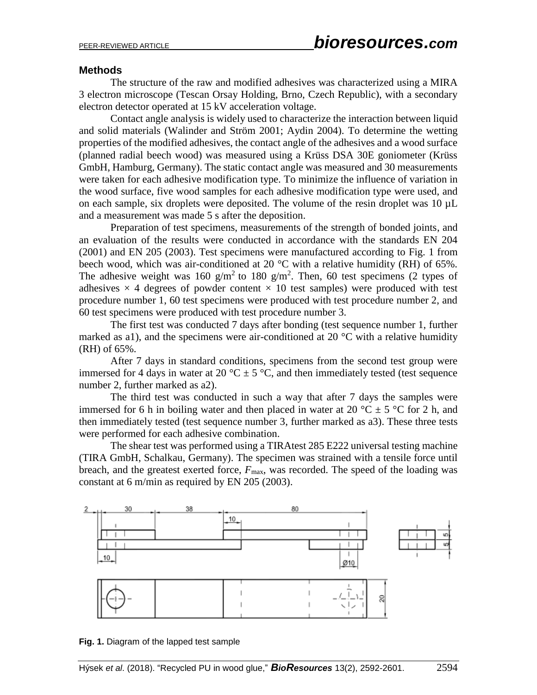#### **Methods**

The structure of the raw and modified adhesives was characterized using a MIRA 3 electron microscope (Tescan Orsay Holding, Brno, Czech Republic), with a secondary electron detector operated at 15 kV acceleration voltage.

Contact angle analysis is widely used to characterize the interaction between liquid and solid materials (Walinder and Ström 2001; Aydin 2004). To determine the wetting properties of the modified adhesives, the contact angle of the adhesives and a wood surface (planned radial beech wood) was measured using a Krüss DSA 30E goniometer (Krüss GmbH, Hamburg, Germany). The static contact angle was measured and 30 measurements were taken for each adhesive modification type. To minimize the influence of variation in the wood surface, five wood samples for each adhesive modification type were used, and on each sample, six droplets were deposited. The volume of the resin droplet was 10  $\mu$ L and a measurement was made 5 s after the deposition.

Preparation of test specimens, measurements of the strength of bonded joints, and an evaluation of the results were conducted in accordance with the standards EN 204 (2001) and EN 205 (2003). Test specimens were manufactured according to Fig. 1 from beech wood, which was air-conditioned at 20 °C with a relative humidity (RH) of 65%. The adhesive weight was 160 g/m<sup>2</sup> to 180 g/m<sup>2</sup>. Then, 60 test specimens (2 types of adhesives  $\times$  4 degrees of powder content  $\times$  10 test samples) were produced with test procedure number 1, 60 test specimens were produced with test procedure number 2, and 60 test specimens were produced with test procedure number 3.

The first test was conducted 7 days after bonding (test sequence number 1, further marked as a1), and the specimens were air-conditioned at 20  $^{\circ}$ C with a relative humidity (RH) of 65%.

After 7 days in standard conditions, specimens from the second test group were immersed for 4 days in water at 20  $\mathrm{C} \pm 5 \mathrm{C}$ , and then immediately tested (test sequence number 2, further marked as a2).

The third test was conducted in such a way that after 7 days the samples were immersed for 6 h in boiling water and then placed in water at 20  $^{\circ}$ C  $\pm$  5  $^{\circ}$ C for 2 h, and then immediately tested (test sequence number 3, further marked as a3). These three tests were performed for each adhesive combination.

The shear test was performed using a TIRAtest 285 E222 universal testing machine (TIRA GmbH, Schalkau, Germany). The specimen was strained with a tensile force until breach, and the greatest exerted force,  $F_{\text{max}}$ , was recorded. The speed of the loading was constant at 6 m/min as required by EN 205 (2003).



**Fig. 1.** Diagram of the lapped test sample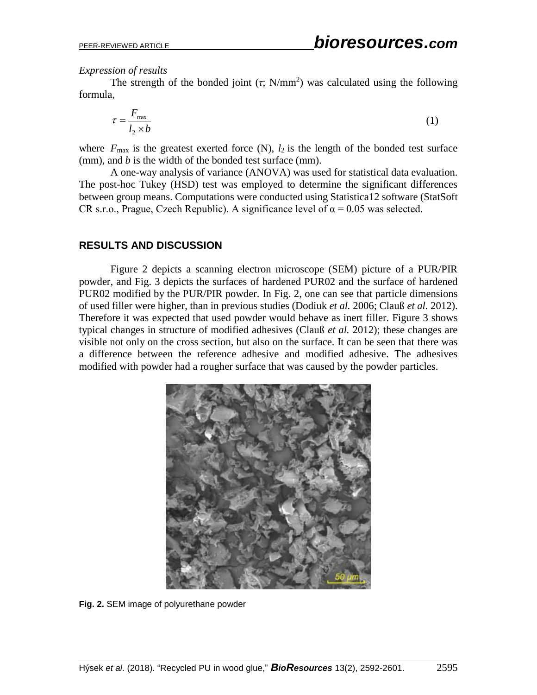*Expression of results*

The strength of the bonded joint  $(\tau; N/mm^2)$  was calculated using the following formula,

$$
\tau = \frac{F_{\text{max}}}{l_2 \times b} \tag{1}
$$

where  $F_{\text{max}}$  is the greatest exerted force (N),  $l_2$  is the length of the bonded test surface (mm), and *b* is the width of the bonded test surface (mm).

A one-way analysis of variance (ANOVA) was used for statistical data evaluation. The post-hoc Tukey (HSD) test was employed to determine the significant differences between group means. Computations were conducted using Statistica12 software (StatSoft CR s.r.o., Prague, Czech Republic). A significance level of  $\alpha = 0.05$  was selected.

## **RESULTS AND DISCUSSION**

Figure 2 depicts a scanning electron microscope (SEM) picture of a PUR/PIR powder, and Fig. 3 depicts the surfaces of hardened PUR02 and the surface of hardened PUR02 modified by the PUR/PIR powder. In Fig. 2, one can see that particle dimensions of used filler were higher, than in previous studies (Dodiuk *et al.* 2006; Clauß *et al.* 2012). Therefore it was expected that used powder would behave as inert filler. Figure 3 shows typical changes in structure of modified adhesives (Clauß *et al.* 2012); these changes are visible not only on the cross section, but also on the surface. It can be seen that there was a difference between the reference adhesive and modified adhesive. The adhesives modified with powder had a rougher surface that was caused by the powder particles.



**Fig. 2.** SEM image of polyurethane powder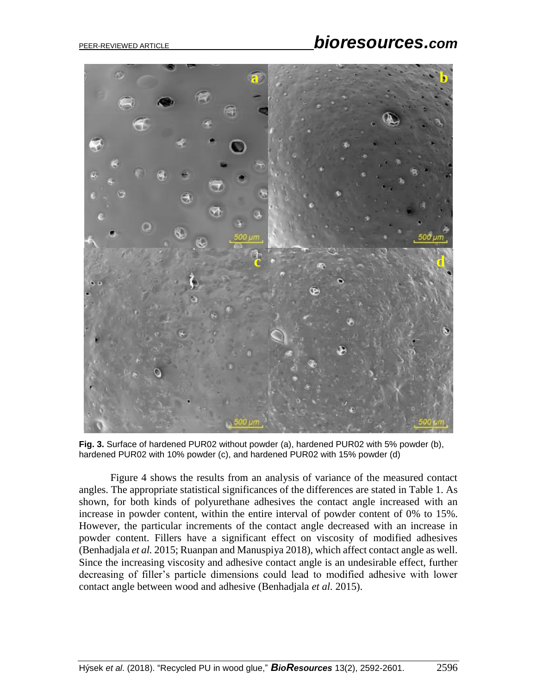# PEER-REVIEWED ARTICLE *bioresources.com*



**Fig. 3.** Surface of hardened PUR02 without powder (a), hardened PUR02 with 5% powder (b), hardened PUR02 with 10% powder (c), and hardened PUR02 with 15% powder (d)

Figure 4 shows the results from an analysis of variance of the measured contact angles. The appropriate statistical significances of the differences are stated in Table 1. As shown, for both kinds of polyurethane adhesives the contact angle increased with an increase in powder content, within the entire interval of powder content of 0% to 15%. However, the particular increments of the contact angle decreased with an increase in powder content. Fillers have a significant effect on viscosity of modified adhesives (Benhadjala *et al.* 2015; Ruanpan and Manuspiya 2018), which affect contact angle as well. Since the increasing viscosity and adhesive contact angle is an undesirable effect, further decreasing of filler's particle dimensions could lead to modified adhesive with lower contact angle between wood and adhesive (Benhadjala *et al.* 2015).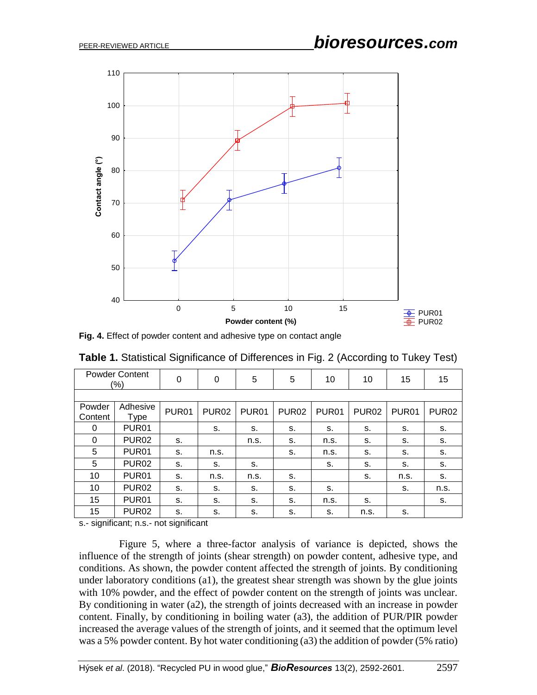

**Fig. 4.** Effect of powder content and adhesive type on contact angle

| <b>Powder Content</b><br>$(\%)$ |                   | 0                 | 0                 | 5                 | 5                 | 10                | 10                | 15                | 15                |
|---------------------------------|-------------------|-------------------|-------------------|-------------------|-------------------|-------------------|-------------------|-------------------|-------------------|
|                                 |                   |                   |                   |                   |                   |                   |                   |                   |                   |
| Powder<br>Content               | Adhesive<br>Type  | PUR <sub>01</sub> | PUR <sub>02</sub> | PUR <sub>01</sub> | PUR <sub>02</sub> | PUR <sub>01</sub> | PUR <sub>02</sub> | PUR <sub>01</sub> | PUR <sub>02</sub> |
| 0                               | PUR <sub>01</sub> |                   | s.                | s.                | s.                | s.                | s.                | s.                | S.                |
| 0                               | PUR <sub>02</sub> | s.                |                   | n.s.              | s.                | n.s.              | s.                | s.                | s.                |
| 5                               | PUR <sub>01</sub> | s.                | n.s.              |                   | s.                | n.s.              | s.                | s.                | s.                |
| 5                               | <b>PUR02</b>      | s.                | s.                | s.                |                   | s.                | s.                | s.                | s.                |
| 10                              | PUR <sub>01</sub> | s.                | n.s.              | n.s.              | s.                |                   | s.                | n.s.              | s.                |
| 10                              | <b>PUR02</b>      | s.                | s.                | s.                | s.                | s.                |                   | s.                | n.s.              |
| 15                              | PUR <sub>01</sub> | s.                | s.                | s.                | s.                | n.s.              | s.                |                   | s.                |
| 15                              | PUR <sub>02</sub> | S.                | s.                | s.                | s.                | S.                | n.s.              | S.                |                   |

**Table 1.** Statistical Significance of Differences in Fig. 2 (According to Tukey Test)

s.- significant; n.s.- not significant

Figure 5, where a three-factor analysis of variance is depicted, shows the influence of the strength of joints (shear strength) on powder content, adhesive type, and conditions. As shown, the powder content affected the strength of joints. By conditioning under laboratory conditions (a1), the greatest shear strength was shown by the glue joints with 10% powder, and the effect of powder content on the strength of joints was unclear. By conditioning in water (a2), the strength of joints decreased with an increase in powder content. Finally, by conditioning in boiling water (a3), the addition of PUR/PIR powder increased the average values of the strength of joints, and it seemed that the optimum level was a 5% powder content. By hot water conditioning (a3) the addition of powder (5% ratio)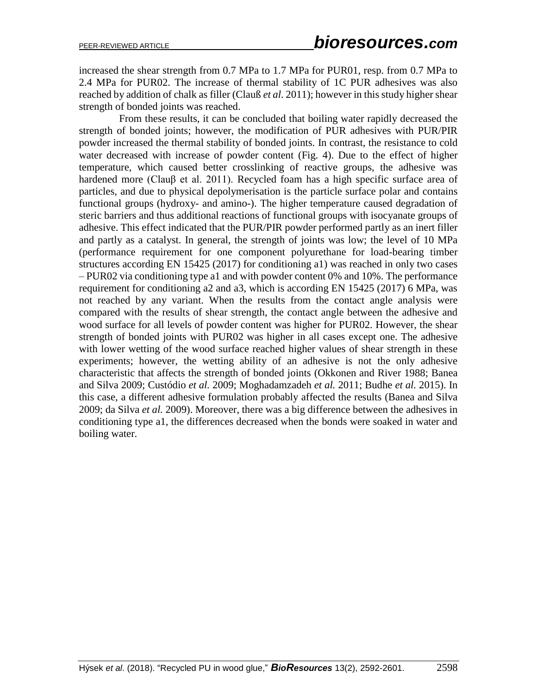increased the shear strength from 0.7 MPa to 1.7 MPa for PUR01, resp. from 0.7 MPa to 2.4 MPa for PUR02. The increase of thermal stability of 1C PUR adhesives was also reached by addition of chalk as filler (Clauß *et al*. 2011); however in this study higher shear strength of bonded joints was reached.

From these results, it can be concluded that boiling water rapidly decreased the strength of bonded joints; however, the modification of PUR adhesives with PUR/PIR powder increased the thermal stability of bonded joints. In contrast, the resistance to cold water decreased with increase of powder content (Fig. 4). Due to the effect of higher temperature, which caused better crosslinking of reactive groups, the adhesive was hardened more (Clauβ et al. 2011). Recycled foam has a high specific surface area of particles, and due to physical depolymerisation is the particle surface polar and contains functional groups (hydroxy- and amino-). The higher temperature caused degradation of steric barriers and thus additional reactions of functional groups with isocyanate groups of adhesive. This effect indicated that the PUR/PIR powder performed partly as an inert filler and partly as a catalyst. In general, the strength of joints was low; the level of 10 MPa (performance requirement for one component polyurethane for load-bearing timber structures according EN 15425 (2017) for conditioning a1) was reached in only two cases – PUR02 via conditioning type a1 and with powder content 0% and 10%. The performance requirement for conditioning a2 and a3, which is according EN 15425 (2017) 6 MPa, was not reached by any variant. When the results from the contact angle analysis were compared with the results of shear strength, the contact angle between the adhesive and wood surface for all levels of powder content was higher for PUR02. However, the shear strength of bonded joints with PUR02 was higher in all cases except one. The adhesive with lower wetting of the wood surface reached higher values of shear strength in these experiments; however, the wetting ability of an adhesive is not the only adhesive characteristic that affects the strength of bonded joints (Okkonen and River 1988; Banea and Silva 2009; Custódio *et al.* 2009; Moghadamzadeh *et al.* 2011; Budhe *et al.* 2015). In this case, a different adhesive formulation probably affected the results (Banea and Silva 2009; da Silva *et al.* 2009). Moreover, there was a big difference between the adhesives in conditioning type a1, the differences decreased when the bonds were soaked in water and boiling water.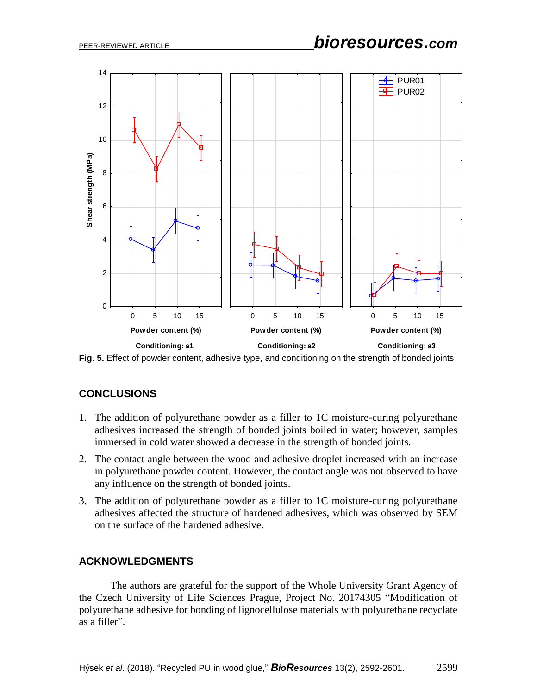

**Fig. 5.** Effect of powder content, adhesive type, and conditioning on the strength of bonded joints

## **CONCLUSIONS**

- 1. The addition of polyurethane powder as a filler to 1C moisture-curing polyurethane adhesives increased the strength of bonded joints boiled in water; however, samples immersed in cold water showed a decrease in the strength of bonded joints.
- 2. The contact angle between the wood and adhesive droplet increased with an increase in polyurethane powder content. However, the contact angle was not observed to have any influence on the strength of bonded joints.
- 3. The addition of polyurethane powder as a filler to 1C moisture-curing polyurethane adhesives affected the structure of hardened adhesives, which was observed by SEM on the surface of the hardened adhesive.

## **ACKNOWLEDGMENTS**

The authors are grateful for the support of the Whole University Grant Agency of the Czech University of Life Sciences Prague, Project No. 20174305 "Modification of polyurethane adhesive for bonding of lignocellulose materials with polyurethane recyclate as a filler".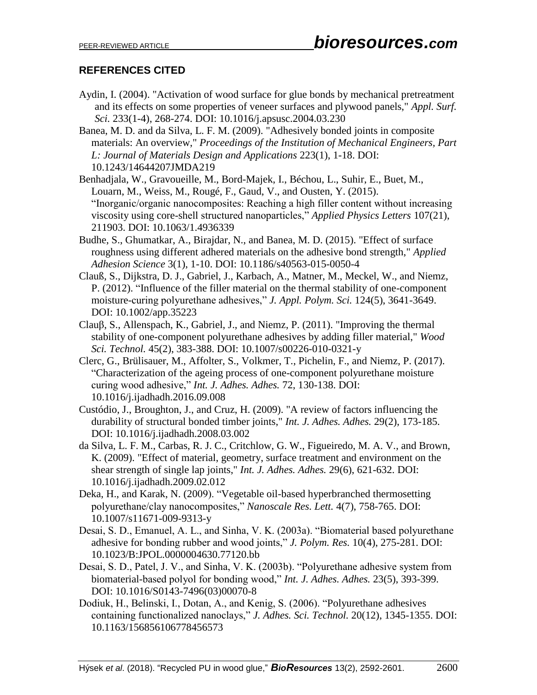## **REFERENCES CITED**

- Aydin, I. (2004). "Activation of wood surface for glue bonds by mechanical pretreatment and its effects on some properties of veneer surfaces and plywood panels," *Appl. Surf. Sci.* 233(1-4), 268-274. DOI: 10.1016/j.apsusc.2004.03.230
- Banea, M. D. and da Silva, L. F. M. (2009). "Adhesively bonded joints in composite materials: An overview," *Proceedings of the Institution of Mechanical Engineers, Part L: Journal of Materials Design and Applications* 223(1), 1-18. DOI: 10.1243/14644207JMDA219
- Benhadjala, W., Gravoueille, M., Bord-Majek, I., Béchou, L., Suhir, E., Buet, M., Louarn, M., Weiss, M., Rougé, F., Gaud, V., and Ousten, Y. (2015). "Inorganic/organic nanocomposites: Reaching a high filler content without increasing viscosity using core-shell structured nanoparticles," *Applied Physics Letters* 107(21), 211903. DOI: 10.1063/1.4936339
- Budhe, S., Ghumatkar, A., Birajdar, N., and Banea, M. D. (2015). "Effect of surface roughness using different adhered materials on the adhesive bond strength," *Applied Adhesion Science* 3(1), 1-10. DOI: 10.1186/s40563-015-0050-4
- Clauß, S., Dijkstra, D. J., Gabriel, J., Karbach, A., Matner, M., Meckel, W., and Niemz, P. (2012). "Influence of the filler material on the thermal stability of one-component moisture-curing polyurethane adhesives," *J. Appl. Polym. Sci.* 124(5), 3641-3649. DOI: 10.1002/app.35223
- Clauβ, S., Allenspach, K., Gabriel, J., and Niemz, P. (2011). "Improving the thermal stability of one-component polyurethane adhesives by adding filler material," *Wood Sci. Technol.* 45(2), 383-388. DOI: 10.1007/s00226-010-0321-y
- Clerc, G., Brülisauer, M., Affolter, S., Volkmer, T., Pichelin, F., and Niemz, P. (2017). "Characterization of the ageing process of one-component polyurethane moisture curing wood adhesive," *Int. J. Adhes. Adhes.* 72, 130-138. DOI: 10.1016/j.ijadhadh.2016.09.008
- Custódio, J., Broughton, J., and Cruz, H. (2009). "A review of factors influencing the durability of structural bonded timber joints," *Int. J. Adhes. Adhes.* 29(2), 173-185. DOI: 10.1016/j.ijadhadh.2008.03.002
- da Silva, L. F. M., Carbas, R. J. C., Critchlow, G. W., Figueiredo, M. A. V., and Brown, K. (2009). "Effect of material, geometry, surface treatment and environment on the shear strength of single lap joints," *Int. J. Adhes. Adhes.* 29(6), 621-632. DOI: 10.1016/j.ijadhadh.2009.02.012
- Deka, H., and Karak, N. (2009). "Vegetable oil-based hyperbranched thermosetting polyurethane/clay nanocomposites," *Nanoscale Res. Lett.* 4(7), 758-765. DOI: 10.1007/s11671-009-9313-y
- Desai, S. D., Emanuel, A. L., and Sinha, V. K. (2003a). "Biomaterial based polyurethane adhesive for bonding rubber and wood joints," *J. Polym. Res.* 10(4), 275-281. DOI: 10.1023/B:JPOL.0000004630.77120.bb
- Desai, S. D., Patel, J. V., and Sinha, V. K. (2003b). "Polyurethane adhesive system from biomaterial-based polyol for bonding wood," *Int. J. Adhes. Adhes.* 23(5), 393-399. DOI: 10.1016/S0143-7496(03)00070-8
- Dodiuk, H., Belinski, I., Dotan, A., and Kenig, S. (2006). "Polyurethane adhesives containing functionalized nanoclays," *J. Adhes. Sci. Technol.* 20(12), 1345-1355. DOI: 10.1163/156856106778456573